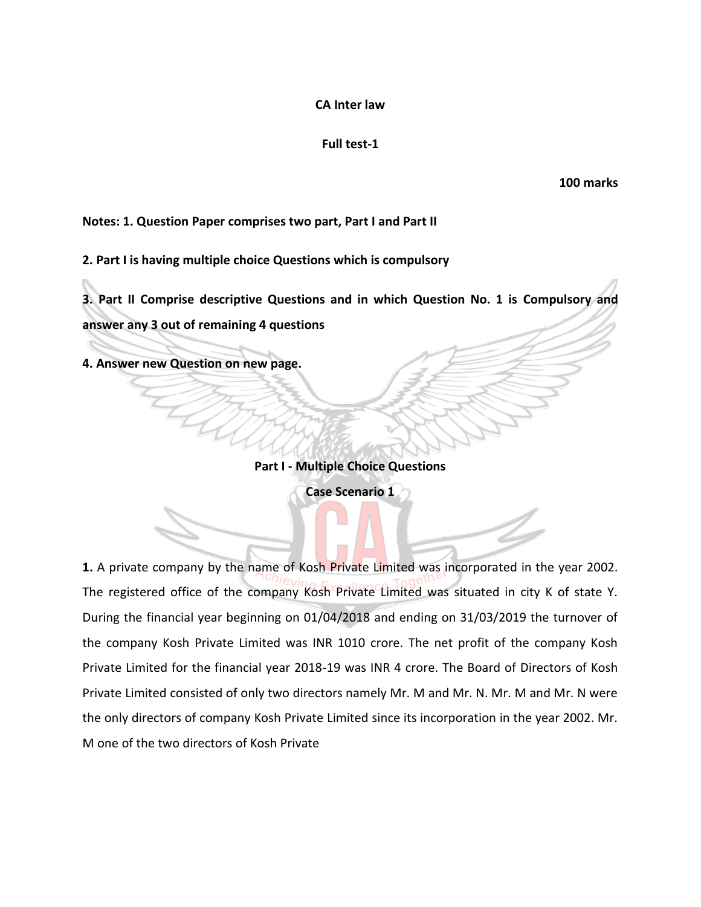#### **CA Inter law**

# **Full test-1**

**100 marks**

### **Notes: 1. Question Paper comprises two part, Part I and Part II**

**2. Part I is having multiple choice Questions which is compulsory**

**3. Part II Comprise descriptive Questions and in which Question No. 1 is Compulsory and answer any 3 out of remaining 4 questions**

**4. Answer new Question on new page.**

**Part I - Multiple Choice Questions**

**Case Scenario 1**

**1.** A private company by the name of Kosh Private Limited was incorporated in the year 2002. The registered office of the company Kosh Private Limited was situated in city K of state Y. During the financial year beginning on 01/04/2018 and ending on 31/03/2019 the turnover of the company Kosh Private Limited was INR 1010 crore. The net profit of the company Kosh Private Limited for the financial year 2018-19 was INR 4 crore. The Board of Directors of Kosh Private Limited consisted of only two directors namely Mr. M and Mr. N. Mr. M and Mr. N were the only directors of company Kosh Private Limited since its incorporation in the year 2002. Mr. M one of the two directors of Kosh Private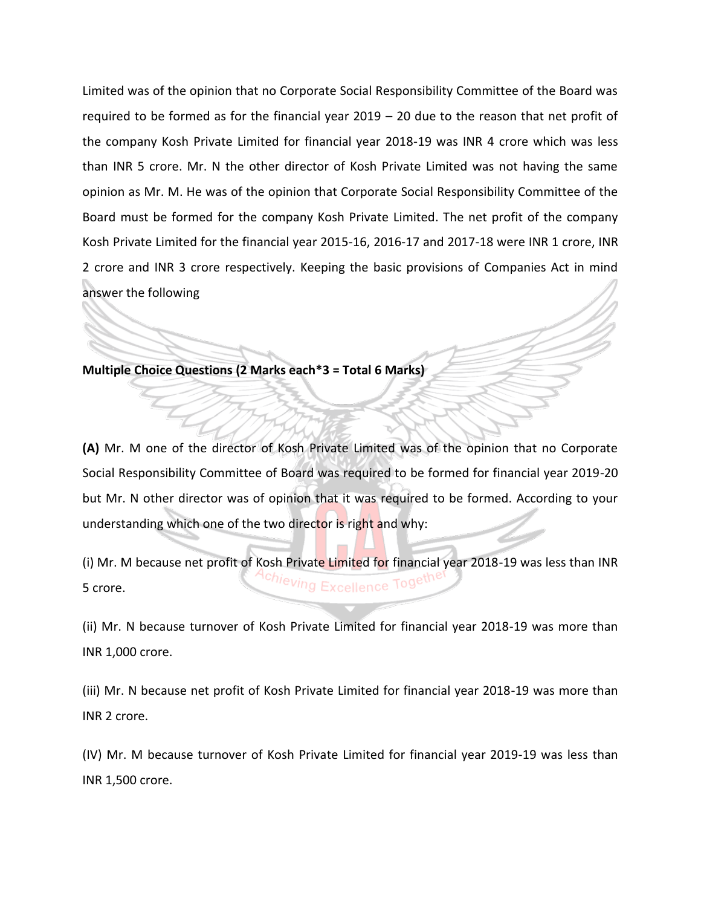Limited was of the opinion that no Corporate Social Responsibility Committee of the Board was required to be formed as for the financial year 2019 – 20 due to the reason that net profit of the company Kosh Private Limited for financial year 2018-19 was INR 4 crore which was less than INR 5 crore. Mr. N the other director of Kosh Private Limited was not having the same opinion as Mr. M. He was of the opinion that Corporate Social Responsibility Committee of the Board must be formed for the company Kosh Private Limited. The net profit of the company Kosh Private Limited for the financial year 2015-16, 2016-17 and 2017-18 were INR 1 crore, INR 2 crore and INR 3 crore respectively. Keeping the basic provisions of Companies Act in mind answer the following

**Multiple Choice Questions (2 Marks each\*3 = Total 6 Marks)** 

**(A)** Mr. M one of the director of Kosh Private Limited was of the opinion that no Corporate Social Responsibility Committee of Board was required to be formed for financial year 2019-20 but Mr. N other director was of opinion that it was required to be formed. According to your understanding which one of the two director is right and why:

(i) Mr. M because net profit of Kosh Private Limited for financial year 2018-19 was less than INR Excellence Togeu 5 crore.

(ii) Mr. N because turnover of Kosh Private Limited for financial year 2018-19 was more than INR 1,000 crore.

(iii) Mr. N because net profit of Kosh Private Limited for financial year 2018-19 was more than INR 2 crore.

(IV) Mr. M because turnover of Kosh Private Limited for financial year 2019-19 was less than INR 1,500 crore.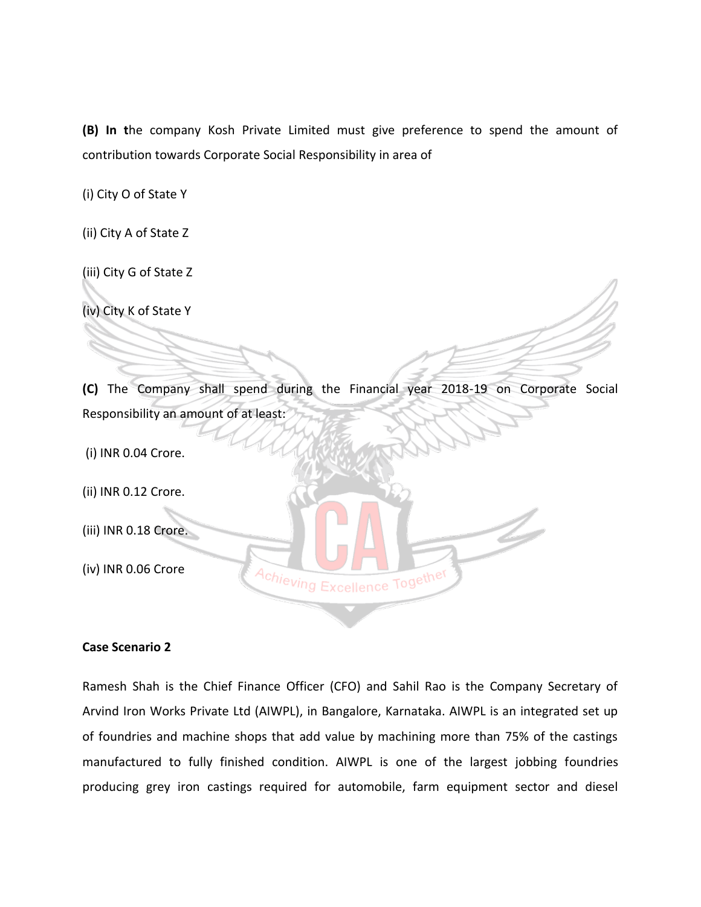**(B) In t**he company Kosh Private Limited must give preference to spend the amount of contribution towards Corporate Social Responsibility in area of

(i) City O of State Y

(ii) City A of State Z

(iii) City G of State Z

(iv) City K of State Y

**(C)** The Company shall spend during the Financial year 2018-19 on Corporate Social Responsibility an amount of at least:

(i) INR 0.04 Crore.

(ii) INR 0.12 Crore.

(iii) INR 0.18 Crore.

(iv) INR 0.06 Crore

#### **Case Scenario 2**

Ramesh Shah is the Chief Finance Officer (CFO) and Sahil Rao is the Company Secretary of Arvind Iron Works Private Ltd (AIWPL), in Bangalore, Karnataka. AIWPL is an integrated set up of foundries and machine shops that add value by machining more than 75% of the castings manufactured to fully finished condition. AIWPL is one of the largest jobbing foundries producing grey iron castings required for automobile, farm equipment sector and diesel

Achieving Excellence Together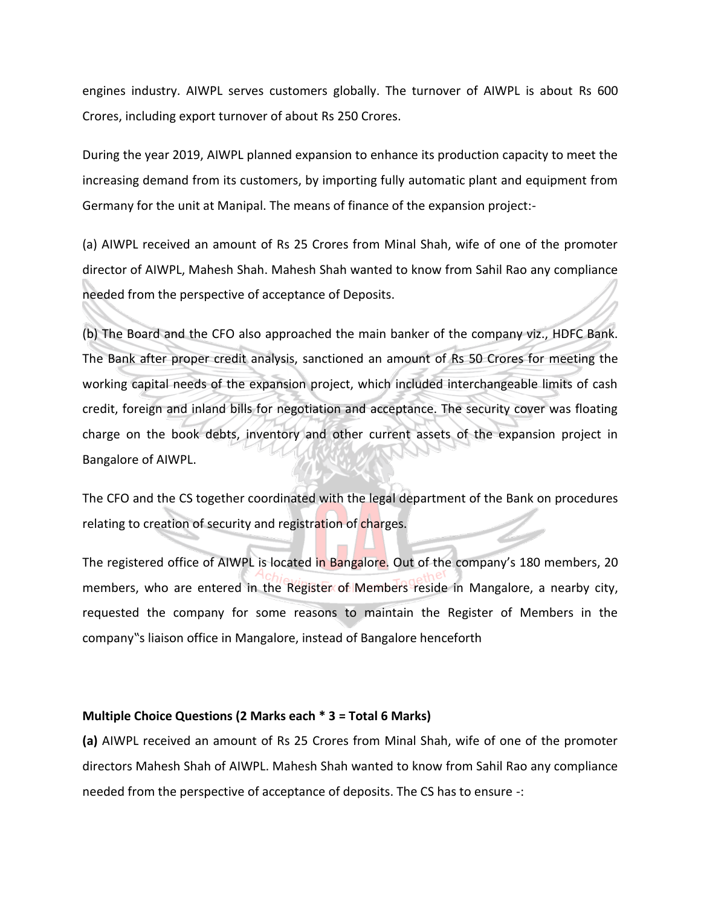engines industry. AIWPL serves customers globally. The turnover of AIWPL is about Rs 600 Crores, including export turnover of about Rs 250 Crores.

During the year 2019, AIWPL planned expansion to enhance its production capacity to meet the increasing demand from its customers, by importing fully automatic plant and equipment from Germany for the unit at Manipal. The means of finance of the expansion project:-

(a) AIWPL received an amount of Rs 25 Crores from Minal Shah, wife of one of the promoter director of AIWPL, Mahesh Shah. Mahesh Shah wanted to know from Sahil Rao any compliance needed from the perspective of acceptance of Deposits.

(b) The Board and the CFO also approached the main banker of the company viz., HDFC Bank. The Bank after proper credit analysis, sanctioned an amount of Rs 50 Crores for meeting the working capital needs of the expansion project, which included interchangeable limits of cash credit, foreign and inland bills for negotiation and acceptance. The security cover was floating charge on the book debts, inventory and other current assets of the expansion project in Bangalore of AIWPL.

The CFO and the CS together coordinated with the legal department of the Bank on procedures relating to creation of security and registration of charges.

The registered office of AIWPL is located in Bangalore. Out of the company's 180 members, 20 members, who are entered in the Register of Members reside in Mangalore, a nearby city, requested the company for some reasons to maintain the Register of Members in the company"s liaison office in Mangalore, instead of Bangalore henceforth

#### **Multiple Choice Questions (2 Marks each \* 3 = Total 6 Marks)**

**(a)** AIWPL received an amount of Rs 25 Crores from Minal Shah, wife of one of the promoter directors Mahesh Shah of AIWPL. Mahesh Shah wanted to know from Sahil Rao any compliance needed from the perspective of acceptance of deposits. The CS has to ensure -: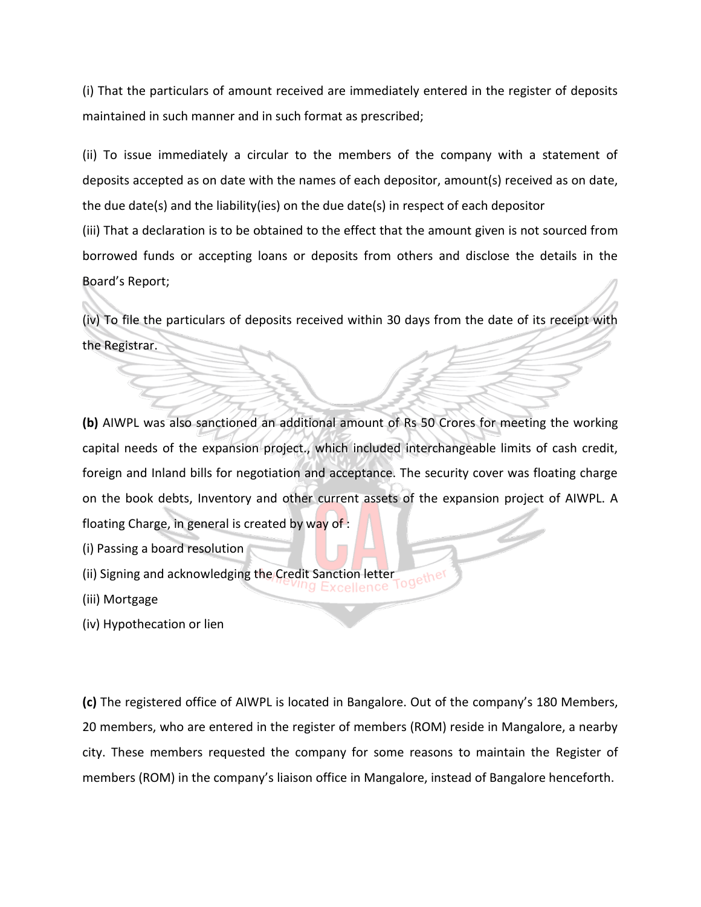(i) That the particulars of amount received are immediately entered in the register of deposits maintained in such manner and in such format as prescribed;

(ii) To issue immediately a circular to the members of the company with a statement of deposits accepted as on date with the names of each depositor, amount(s) received as on date, the due date(s) and the liability(ies) on the due date(s) in respect of each depositor (iii) That a declaration is to be obtained to the effect that the amount given is not sourced from borrowed funds or accepting loans or deposits from others and disclose the details in the Board's Report;

(iv) To file the particulars of deposits received within 30 days from the date of its receipt with the Registrar.

**(b)** AIWPL was also sanctioned an additional amount of Rs 50 Crores for meeting the working capital needs of the expansion project., which included interchangeable limits of cash credit, foreign and Inland bills for negotiation and acceptance. The security cover was floating charge on the book debts, Inventory and other current assets of the expansion project of AIWPL. A floating Charge, in general is created by way of :

- (i) Passing a board resolution
- (ii) Signing and acknowledging the Credit Sanction letter Together
- (iii) Mortgage
- (iv) Hypothecation or lien

**(c)** The registered office of AIWPL is located in Bangalore. Out of the company's 180 Members, 20 members, who are entered in the register of members (ROM) reside in Mangalore, a nearby city. These members requested the company for some reasons to maintain the Register of members (ROM) in the company's liaison office in Mangalore, instead of Bangalore henceforth.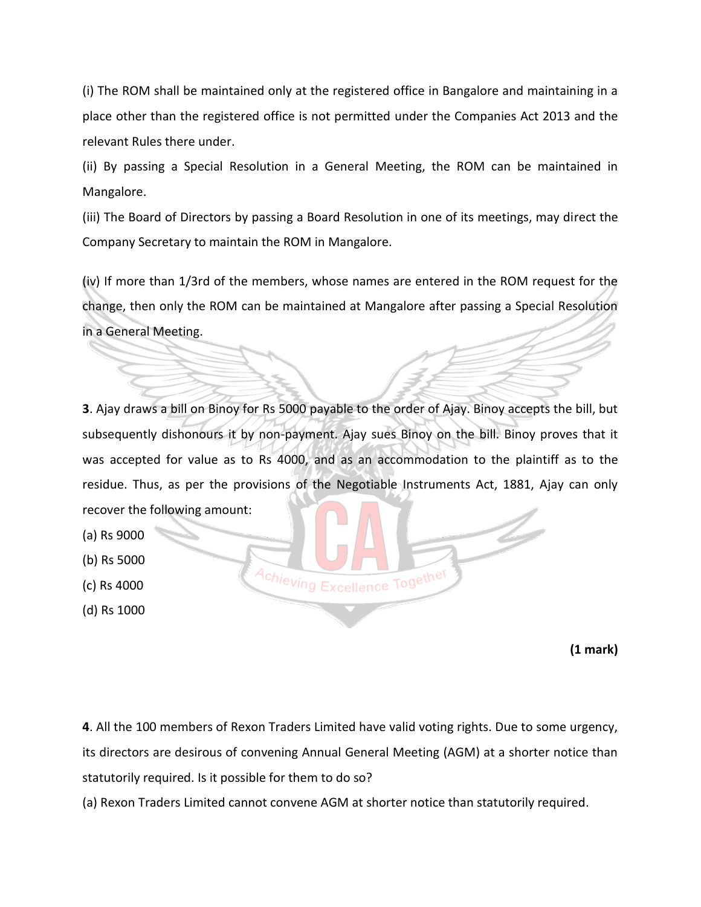(i) The ROM shall be maintained only at the registered office in Bangalore and maintaining in a place other than the registered office is not permitted under the Companies Act 2013 and the relevant Rules there under.

(ii) By passing a Special Resolution in a General Meeting, the ROM can be maintained in Mangalore.

(iii) The Board of Directors by passing a Board Resolution in one of its meetings, may direct the Company Secretary to maintain the ROM in Mangalore.

(iv) If more than 1/3rd of the members, whose names are entered in the ROM request for the change, then only the ROM can be maintained at Mangalore after passing a Special Resolution in a General Meeting.

**3**. Ajay draws a bill on Binoy for Rs 5000 payable to the order of Ajay. Binoy accepts the bill, but subsequently dishonours it by non-payment. Ajay sues Binoy on the bill. Binoy proves that it was accepted for value as to Rs 4000, and as an accommodation to the plaintiff as to the residue. Thus, as per the provisions of the Negotiable Instruments Act, 1881, Ajay can only recover the following amount:

- (a) Rs 9000
- (b) Rs 5000
- (c) Rs 4000
- (d) Rs 1000

Achieving Excellence Together

**(1 mark)**

**4**. All the 100 members of Rexon Traders Limited have valid voting rights. Due to some urgency, its directors are desirous of convening Annual General Meeting (AGM) at a shorter notice than statutorily required. Is it possible for them to do so?

(a) Rexon Traders Limited cannot convene AGM at shorter notice than statutorily required.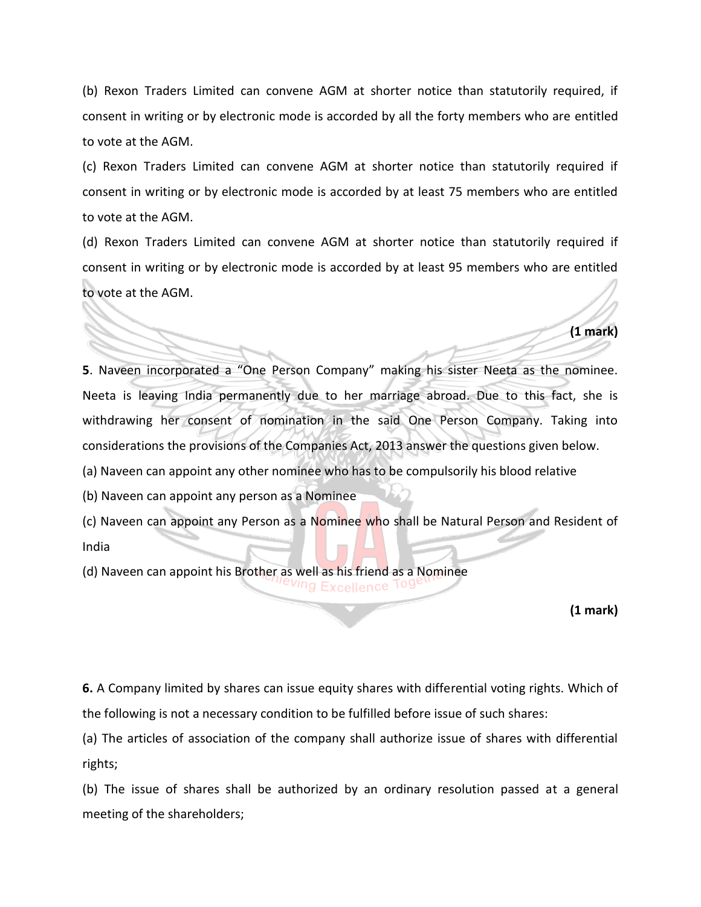(b) Rexon Traders Limited can convene AGM at shorter notice than statutorily required, if consent in writing or by electronic mode is accorded by all the forty members who are entitled to vote at the AGM.

(c) Rexon Traders Limited can convene AGM at shorter notice than statutorily required if consent in writing or by electronic mode is accorded by at least 75 members who are entitled to vote at the AGM.

(d) Rexon Traders Limited can convene AGM at shorter notice than statutorily required if consent in writing or by electronic mode is accorded by at least 95 members who are entitled to vote at the AGM.

**5**. Naveen incorporated a "One Person Company" making his sister Neeta as the nominee. Neeta is leaving India permanently due to her marriage abroad. Due to this fact, she is withdrawing her consent of nomination in the said One Person Company. Taking into considerations the provisions of the Companies Act, 2013 answer the questions given below.

(a) Naveen can appoint any other nominee who has to be compulsorily his blood relative

(b) Naveen can appoint any person as a Nominee

(c) Naveen can appoint any Person as a Nominee who shall be Natural Person and Resident of India

(d) Naveen can appoint his Brother as well as his friend as a Nominee <sup>Ving</sup> Excellence 199

**(1 mark)**

**(1 mark)**

**6.** A Company limited by shares can issue equity shares with differential voting rights. Which of the following is not a necessary condition to be fulfilled before issue of such shares:

(a) The articles of association of the company shall authorize issue of shares with differential rights;

(b) The issue of shares shall be authorized by an ordinary resolution passed at a general meeting of the shareholders;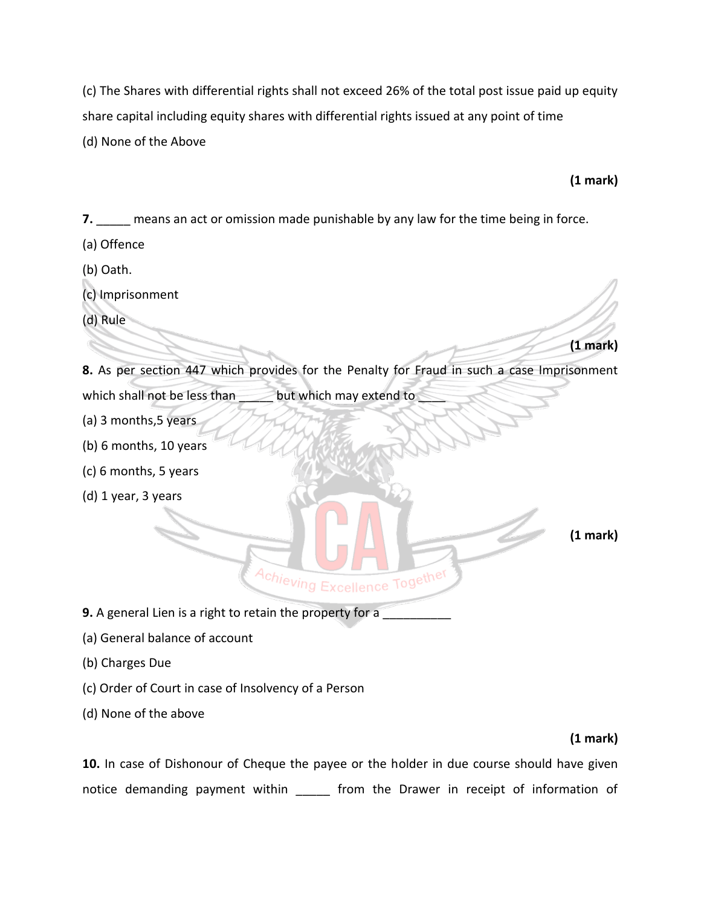(c) The Shares with differential rights shall not exceed 26% of the total post issue paid up equity share capital including equity shares with differential rights issued at any point of time (d) None of the Above

# **(1 mark)**

**(1 mark)** 

**7. If the means an act or omission made punishable by any law for the time being in force.** 

- (a) Offence
- (b) Oath.
- (c) Imprisonment
- (d) Rule

**8.** As per section 447 which provides for the Penalty for Fraud in such a case Imprisonment which shall not be less than \_\_\_\_\_\_ but which may extend to

- (a) 3 months,5 years
- (b) 6 months, 10 years
- (c) 6 months, 5 years
- (d) 1 year, 3 years

**(1 mark)**

**9.** A general Lien is a right to retain the property for a

- (a) General balance of account
- (b) Charges Due
- (c) Order of Court in case of Insolvency of a Person
- (d) None of the above

# **(1 mark)**

**10.** In case of Dishonour of Cheque the payee or the holder in due course should have given notice demanding payment within \_\_\_\_\_ from the Drawer in receipt of information of

Achieving Excellence Together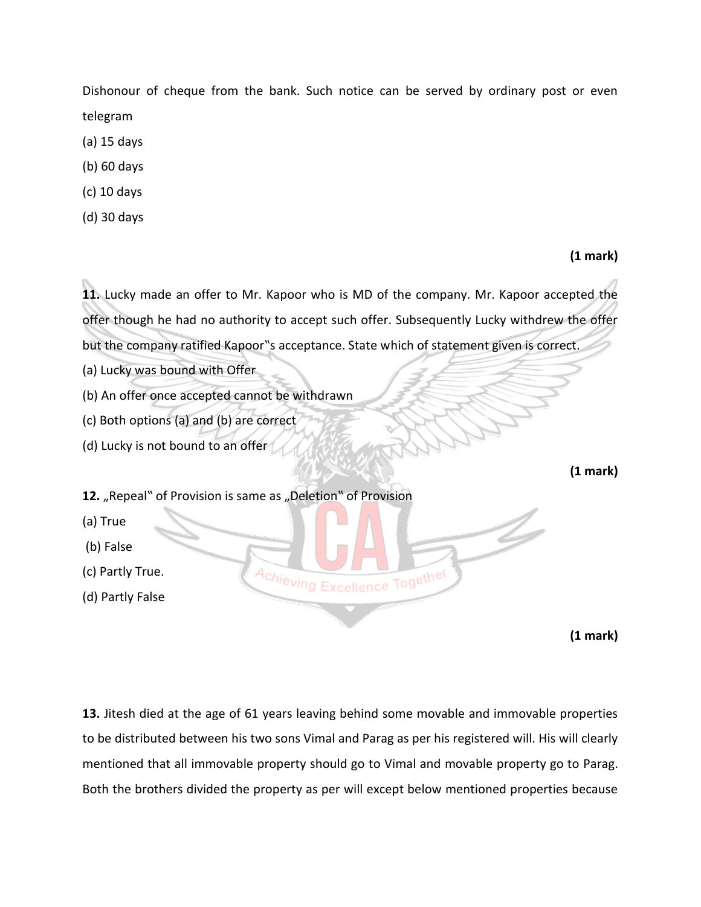Dishonour of cheque from the bank. Such notice can be served by ordinary post or even telegram

- (a) 15 days
- (b) 60 days
- (c) 10 days
- (d) 30 days

#### **(1 mark)**

**11.** Lucky made an offer to Mr. Kapoor who is MD of the company. Mr. Kapoor accepted the offer though he had no authority to accept such offer. Subsequently Lucky withdrew the offer but the company ratified Kapoor"s acceptance. State which of statement given is correct. (a) Lucky was bound with Offer (b) An offer once accepted cannot be withdrawn (c) Both options (a) and (b) are correct (d) Lucky is not bound to an offer **(1 mark)**  12. "Repeal" of Provision is same as "Deletion" of Provision

(a) True

- (b) False
- (c) Partly True.
- (d) Partly False

**(1 mark)**

**13.** Jitesh died at the age of 61 years leaving behind some movable and immovable properties to be distributed between his two sons Vimal and Parag as per his registered will. His will clearly mentioned that all immovable property should go to Vimal and movable property go to Parag. Both the brothers divided the property as per will except below mentioned properties because

Achieving Excellence Together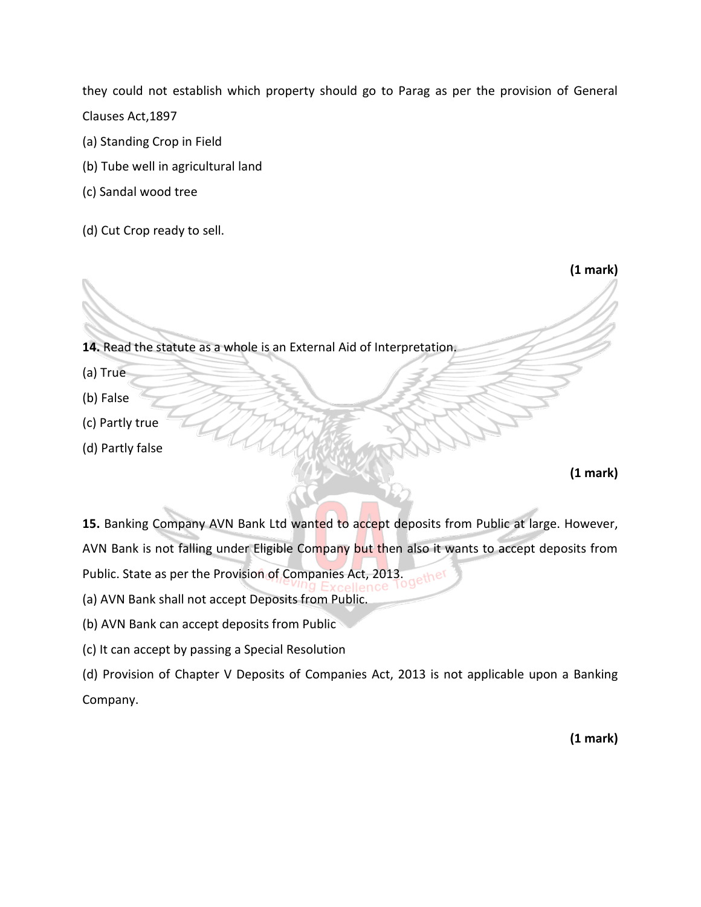they could not establish which property should go to Parag as per the provision of General Clauses Act,1897

- (a) Standing Crop in Field
- (b) Tube well in agricultural land
- (c) Sandal wood tree
- (d) Cut Crop ready to sell.

**14.** Read the statute as a whole is an External Aid of Interpretation.

- (a) True
- (b) False
- (c) Partly true
- (d) Partly false

**(1 mark)** 

**(1 mark)**

15. Banking Company AVN Bank Ltd wanted to accept deposits from Public at large. However, AVN Bank is not falling under Eligible Company but then also it wants to accept deposits from

Public. State as per the Provision of Companies Act, 2013.

- (a) AVN Bank shall not accept Deposits from Public.
- (b) AVN Bank can accept deposits from Public
- (c) It can accept by passing a Special Resolution

(d) Provision of Chapter V Deposits of Companies Act, 2013 is not applicable upon a Banking Company.

**(1 mark)**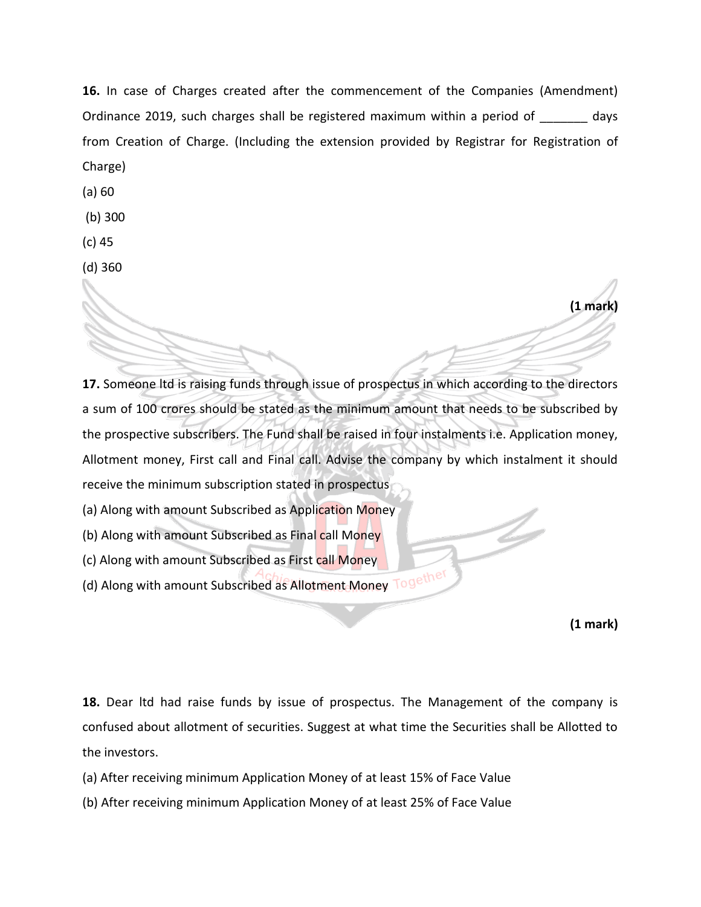**16.** In case of Charges created after the commencement of the Companies (Amendment) Ordinance 2019, such charges shall be registered maximum within a period of \_\_\_\_\_\_\_ days from Creation of Charge. (Including the extension provided by Registrar for Registration of Charge)

(a) 60

(b) 300

(c) 45

(d) 360

**17.** Someone ltd is raising funds through issue of prospectus in which according to the directors a sum of 100 crores should be stated as the minimum amount that needs to be subscribed by the prospective subscribers. The Fund shall be raised in four instalments i.e. Application money, Allotment money, First call and Final call. Advise the company by which instalment it should receive the minimum subscription stated in prospectus

(a) Along with amount Subscribed as Application Money

(b) Along with amount Subscribed as Final call Money

(c) Along with amount Subscribed as First call Money

(d) Along with amount Subscribed as Allotment Money Together

**(1 mark)**

**(1 mark)**

**18.** Dear ltd had raise funds by issue of prospectus. The Management of the company is confused about allotment of securities. Suggest at what time the Securities shall be Allotted to the investors.

(a) After receiving minimum Application Money of at least 15% of Face Value

(b) After receiving minimum Application Money of at least 25% of Face Value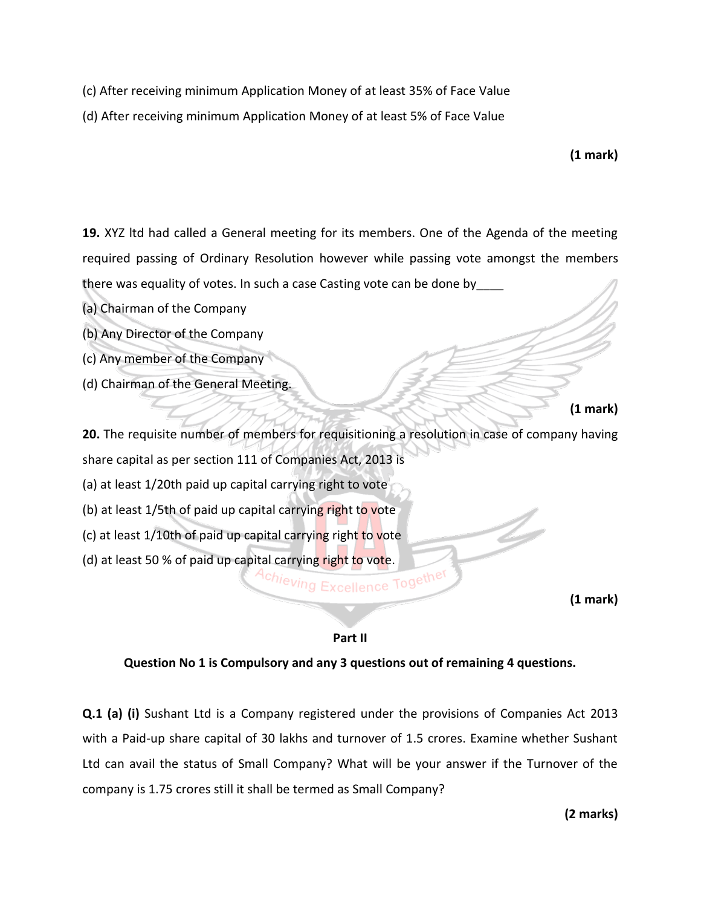- (c) After receiving minimum Application Money of at least 35% of Face Value
- (d) After receiving minimum Application Money of at least 5% of Face Value

**(1 mark)**

**19.** XYZ ltd had called a General meeting for its members. One of the Agenda of the meeting required passing of Ordinary Resolution however while passing vote amongst the members there was equality of votes. In such a case Casting vote can be done by\_\_\_\_

- (a) Chairman of the Company
- (b) Any Director of the Company
- (c) Any member of the Company
- (d) Chairman of the General Meeting.

```
(1 mark)
```
**20.** The requisite number of members for requisitioning a resolution in case of company having share capital as per section 111 of Companies Act, 2013 is (a) at least 1/20th paid up capital carrying right to vote (b) at least 1/5th of paid up capital carrying right to vote (c) at least 1/10th of paid up capital carrying right to vote (d) at least 50 % of paid up capital carrying right to vote.

**(1 mark)**

#### **Part II**

#### **Question No 1 is Compulsory and any 3 questions out of remaining 4 questions.**

**Q.1 (a) (i)** Sushant Ltd is a Company registered under the provisions of Companies Act 2013 with a Paid-up share capital of 30 lakhs and turnover of 1.5 crores. Examine whether Sushant Ltd can avail the status of Small Company? What will be your answer if the Turnover of the company is 1.75 crores still it shall be termed as Small Company?

**(2 marks)**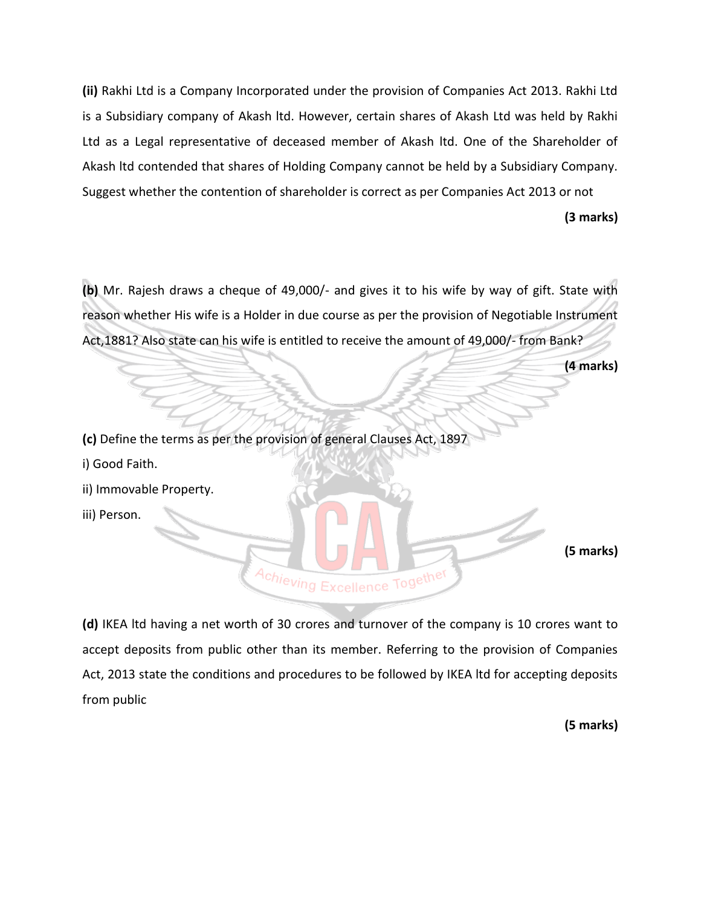**(ii)** Rakhi Ltd is a Company Incorporated under the provision of Companies Act 2013. Rakhi Ltd is a Subsidiary company of Akash ltd. However, certain shares of Akash Ltd was held by Rakhi Ltd as a Legal representative of deceased member of Akash ltd. One of the Shareholder of Akash ltd contended that shares of Holding Company cannot be held by a Subsidiary Company. Suggest whether the contention of shareholder is correct as per Companies Act 2013 or not

**(3 marks)**

**(b)** Mr. Rajesh draws a cheque of 49,000/- and gives it to his wife by way of gift. State with reason whether His wife is a Holder in due course as per the provision of Negotiable Instrument Act,1881? Also state can his wife is entitled to receive the amount of 49,000/- from Bank?

**(4 marks)**

**(c)** Define the terms as per the provision of general Clauses Act, 1897

i) Good Faith.

ii) Immovable Property.

iii) Person.

**(5 marks)**

**(d)** IKEA ltd having a net worth of 30 crores and turnover of the company is 10 crores want to accept deposits from public other than its member. Referring to the provision of Companies Act, 2013 state the conditions and procedures to be followed by IKEA ltd for accepting deposits from public

Achieving Excellence Together

**(5 marks)**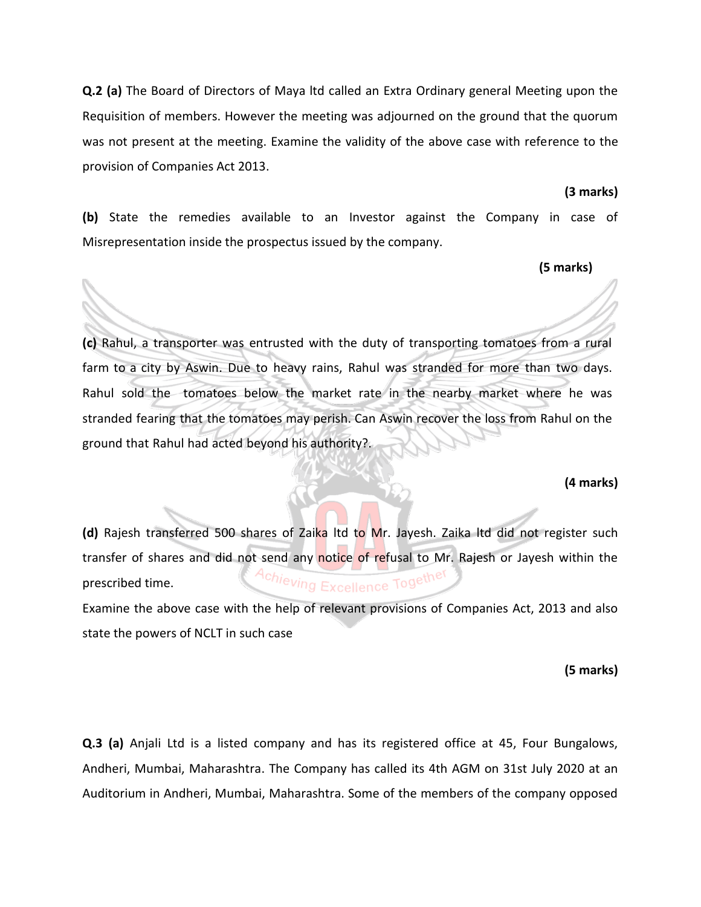**Q.2 (a)** The Board of Directors of Maya ltd called an Extra Ordinary general Meeting upon the Requisition of members. However the meeting was adjourned on the ground that the quorum was not present at the meeting. Examine the validity of the above case with reference to the provision of Companies Act 2013.

#### **(3 marks)**

**(b)** State the remedies available to an Investor against the Company in case of Misrepresentation inside the prospectus issued by the company.

#### **(5 marks)**

**(c)** Rahul, a transporter was entrusted with the duty of transporting tomatoes from a rural farm to a city by Aswin. Due to heavy rains, Rahul was stranded for more than two days. Rahul sold the tomatoes below the market rate in the nearby market where he was stranded fearing that the tomatoes may perish. Can Aswin recover the loss from Rahul on the ground that Rahul had acted beyond his authority?.

#### **(4 marks)**

**(d)** Rajesh transferred 500 shares of Zaika ltd to Mr. Jayesh. Zaika ltd did not register such transfer of shares and did not send any notice of refusal to Mr. Rajesh or Jayesh within the Achieving Excellence Together prescribed time. Examine the above case with the help of relevant provisions of Companies Act, 2013 and also state the powers of NCLT in such case

# **(5 marks)**

**Q.3 (a)** Anjali Ltd is a listed company and has its registered office at 45, Four Bungalows, Andheri, Mumbai, Maharashtra. The Company has called its 4th AGM on 31st July 2020 at an Auditorium in Andheri, Mumbai, Maharashtra. Some of the members of the company opposed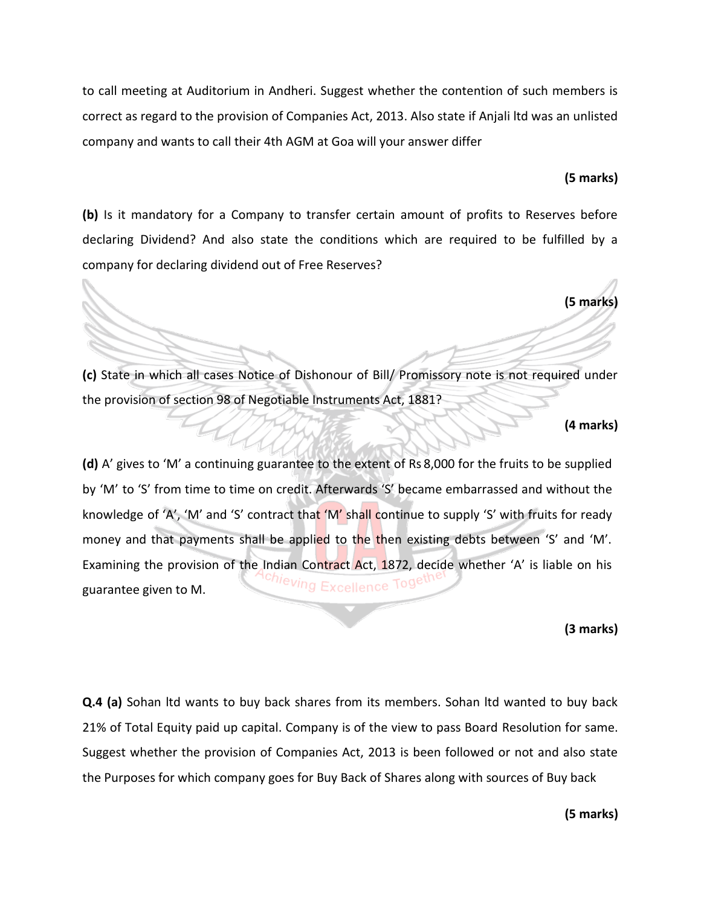to call meeting at Auditorium in Andheri. Suggest whether the contention of such members is correct as regard to the provision of Companies Act, 2013. Also state if Anjali ltd was an unlisted company and wants to call their 4th AGM at Goa will your answer differ

#### **(5 marks)**

**(b)** Is it mandatory for a Company to transfer certain amount of profits to Reserves before declaring Dividend? And also state the conditions which are required to be fulfilled by a company for declaring dividend out of Free Reserves?

**(5 marks)**

**(c)** State in which all cases Notice of Dishonour of Bill/ Promissory note is not required under the provision of section 98 of Negotiable Instruments Act, 1881?

#### **(4 marks)**

**(d)** A' gives to 'M' a continuing guarantee to the extent of Rs 8,000 for the fruits to be supplied by 'M' to 'S' from time to time on credit. Afterwards 'S' became embarrassed and without the knowledge of 'A', 'M' and 'S' contract that 'M' shall continue to supply 'S' with fruits for ready money and that payments shall be applied to the then existing debts between 'S' and 'M'. Examining the provision of the Indian Contract Act, 1872, decide whether 'A' is liable on his <sup>chi</sup>eving Excellence Togeu guarantee given to M.

**(3 marks)**

**Q.4 (a)** Sohan ltd wants to buy back shares from its members. Sohan ltd wanted to buy back 21% of Total Equity paid up capital. Company is of the view to pass Board Resolution for same. Suggest whether the provision of Companies Act, 2013 is been followed or not and also state the Purposes for which company goes for Buy Back of Shares along with sources of Buy back

**(5 marks)**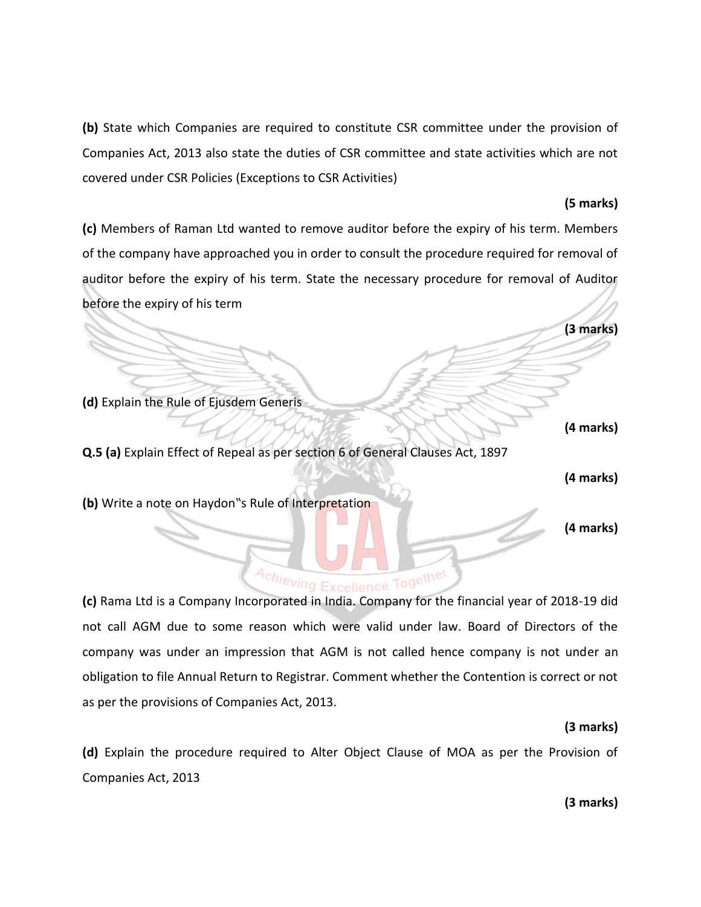**(b)** State which Companies are required to constitute CSR committee under the provision of Companies Act, 2013 also state the duties of CSR committee and state activities which are not covered under CSR Policies (Exceptions to CSR Activities)

# **(5 marks)**

**(c)** Members of Raman Ltd wanted to remove auditor before the expiry of his term. Members of the company have approached you in order to consult the procedure required for removal of auditor before the expiry of his term. State the necessary procedure for removal of Auditor before the expiry of his term

**(3 marks)**

**(d)** Explain the Rule of Ejusdem Generis

**Q.5 (a)** Explain Effect of Repeal as per section 6 of General Clauses Act, 1897

**(4 marks)**

**(4 marks)** 

**(b)** Write a note on Haydon"s Rule of Interpretation

# **(4 marks)**

# Achieving Excellence Together

**(c)** Rama Ltd is a Company Incorporated in India. Company for the financial year of 2018-19 did not call AGM due to some reason which were valid under law. Board of Directors of the company was under an impression that AGM is not called hence company is not under an obligation to file Annual Return to Registrar. Comment whether the Contention is correct or not as per the provisions of Companies Act, 2013.

# **(3 marks)**

**(d)** Explain the procedure required to Alter Object Clause of MOA as per the Provision of Companies Act, 2013

**(3 marks)**